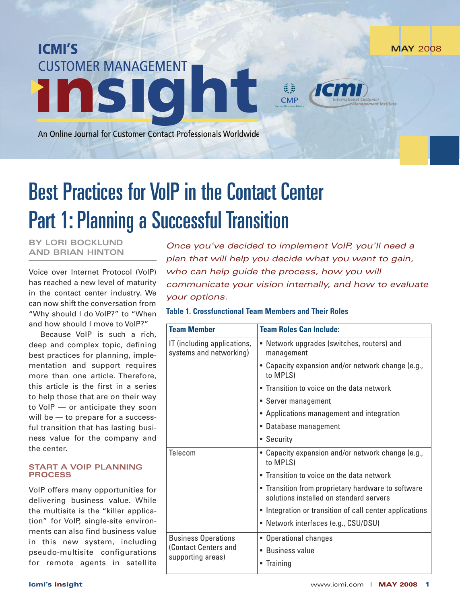**MAY** 2008

An Online Journal for Customer Contact Professionals Worldwide

**CUSTOMER MANAGEMENT** 

# Best Practices for VoIP in the Contact Center **Part 1: Planning a Successful Transition**

**BY LORI BOCKLUND AND BRIAN HINTON**

**ICMI'S** 

ins

Voice over Internet Protocol (VoIP) has reached a new level of maturity in the contact center industry. We can now shift the conversation from "Why should I do VoIP?" to "When and how should I move to VoIP?"

Because VoIP is such a rich, deep and complex topic, defining best practices for planning, implementation and support requires more than one article. Therefore, this article is the first in a series to help those that are on their way to VoIP — or anticipate they soon will be – to prepare for a successful transition that has lasting business value for the company and the center.

### **START A VOIP PLANNING PROCESS**

VoIP offers many opportunities for delivering business value. While the multisite is the "killer application" for VoIP, single-site environments can also find business value in this new system, including pseudo-multisite configurations for remote agents in satellite

*Once you've decided to implement VoIP, you'll need a plan that will help you decide what you want to gain, who can help guide the process, how you will communicate your vision internally, and how to evaluate your options.*

41 **CMP** 

# **Table 1. Crossfunctional Team Members and Their Roles**

| <b>Team Member</b>                                                      | <b>Team Roles Can Include:</b>                                                                |
|-------------------------------------------------------------------------|-----------------------------------------------------------------------------------------------|
| IT (including applications,<br>systems and networking)                  | • Network upgrades (switches, routers) and<br>management                                      |
|                                                                         | • Capacity expansion and/or network change (e.g.,<br>to MPLS)                                 |
|                                                                         | • Transition to voice on the data network                                                     |
|                                                                         | • Server management                                                                           |
|                                                                         | • Applications management and integration                                                     |
|                                                                         | • Database management                                                                         |
|                                                                         | • Security                                                                                    |
| Telecom                                                                 | • Capacity expansion and/or network change (e.g.,<br>to MPLS)                                 |
|                                                                         | • Transition to voice on the data network                                                     |
|                                                                         | • Transition from proprietary hardware to software<br>solutions installed on standard servers |
|                                                                         | • Integration or transition of call center applications                                       |
|                                                                         | • Network interfaces (e.g., CSU/DSU)                                                          |
| <b>Business Operations</b><br>(Contact Centers and<br>supporting areas) | • Operational changes                                                                         |
|                                                                         | • Business value                                                                              |
|                                                                         | • Training                                                                                    |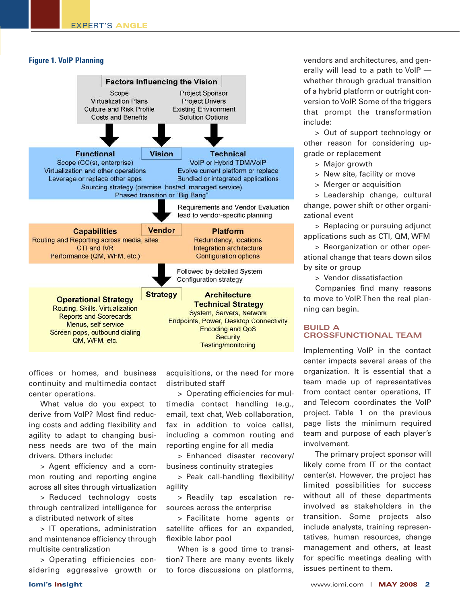## **Figure 1. VoIP Planning**



offices or homes, and business continuity and multimedia contact center operations.

What value do you expect to derive from VoIP? Most find reducing costs and adding flexibility and agility to adapt to changing business needs are two of the main drivers. Others include:

> Agent efficiency and a common routing and reporting engine across all sites through virtualization

> Reduced technology costs through centralized intelligence for a distributed network of sites

> IT operations, administration and maintenance efficiency through multisite centralization

> Operating efficiencies considering aggressive growth or acquisitions, or the need for more distributed staff

> Operating efficiencies for multimedia contact handling (e.g., email, text chat, Web collaboration, fax in addition to voice calls), including a common routing and reporting engine for all media

> Enhanced disaster recovery/ business continuity strategies

> Peak call-handling flexibility/ agility

> Readily tap escalation resources across the enterprise

> Facilitate home agents or satellite offices for an expanded, flexible labor pool

When is a good time to transition? There are many events likely to force discussions on platforms,

vendors and architectures, and generally will lead to a path to VoIP whether through gradual transition of a hybrid platform or outright conversion to VoIP. Some of the triggers that prompt the transformation include:

> Out of support technology or other reason for considering upgrade or replacement

- > Major growth
- > New site, facility or move
- > Merger or acquisition

> Leadership change, cultural change, power shift or other organizational event

> Replacing or pursuing adjunct applications such as CTI, QM, WFM

> Reorganization or other operational change that tears down silos by site or group

> Vendor dissatisfaction

Companies find many reasons to move to VoIP. Then the real planning can begin.

#### **BUILD A CROSSFUNCTIONAL TEAM**

Implementing VoIP in the contact center impacts several areas of the organization. It is essential that a team made up of representatives from contact center operations, IT and Telecom coordinates the VoIP project. Table 1 on the previous page lists the minimum required team and purpose of each player's involvement.

The primary project sponsor will likely come from IT or the contact center(s). However, the project has limited possibilities for success without all of these departments involved as stakeholders in the transition. Some projects also include analysts, training representatives, human resources, change management and others, at least for specific meetings dealing with issues pertinent to them.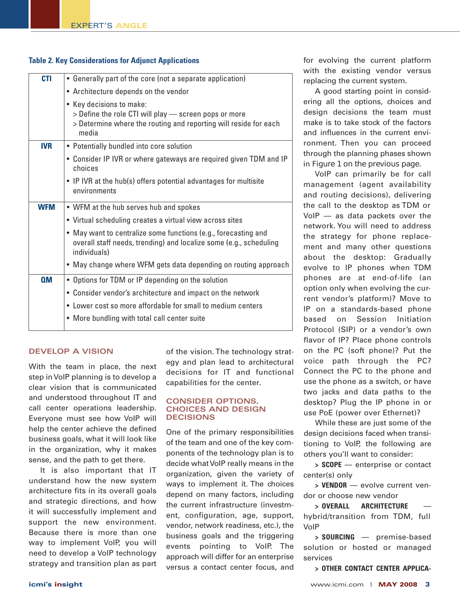# **Table 2. Key Considerations for Adjunct Applications**

| <b>CTI</b> | • Generally part of the core (not a separate application)                                                                                                      |
|------------|----------------------------------------------------------------------------------------------------------------------------------------------------------------|
|            | • Architecture depends on the vendor                                                                                                                           |
|            | • Key decisions to make:<br>> Define the role CTI will play - screen pops or more<br>> Determine where the routing and reporting will reside for each<br>media |
| <b>IVR</b> | • Potentially bundled into core solution                                                                                                                       |
|            | • Consider IP IVR or where gateways are required given TDM and IP<br>choices                                                                                   |
|            | • IP IVR at the hub(s) offers potential advantages for multisite<br>environments                                                                               |
| <b>WFM</b> | • WFM at the hub serves hub and spokes                                                                                                                         |
|            | • Virtual scheduling creates a virtual view across sites                                                                                                       |
|            | • May want to centralize some functions (e.g., forecasting and<br>overall staff needs, trending) and localize some (e.g., scheduling<br>individuals)           |
|            | • May change where WFM gets data depending on routing approach                                                                                                 |
| <b>OM</b>  | • Options for TDM or IP depending on the solution                                                                                                              |
|            | • Consider vendor's architecture and impact on the network                                                                                                     |
|            | • Lower cost so more affordable for small to medium centers                                                                                                    |
|            | • More bundling with total call center suite                                                                                                                   |

#### **DEVELOP A VISION**

With the team in place, the next step inVoIP planning is to develop a clear vision that is communicated and understood throughout IT and call center operations leadership. Everyone must see how VoIP will help the center achieve the defined business goals, what it will look like in the organization, why it makes sense, and the path to get there.

It is also important that IT understand how the new system architecture fits in its overall goals and strategic directions, and how it will successfully implement and support the new environment. Because there is more than one way to implement VoIP, you will need to develop a VoIP technology strategy and transition plan as part

of the vision. The technology strategy and plan lead to architectural decisions for IT and functional capabilities for the center.

#### **CONSIDER OPTIONS, CHOICES AND DESIGN DECISIONS**

One of the primary responsibilities of the team and one of the key components of the technology plan is to decide what VoIP really means in the organization, given the variety of ways to implement it. The choices depend on many factors, including the current infrastructure (investment, configuration, age, support, vendor, network readiness, etc.), the business goals and the triggering events pointing to VoIP. The approach will differ for an enterprise versus a contact center focus, and

for evolving the current platform with the existing vendor versus replacing the current system.

A good starting point in considering all the options, choices and design decisions the team must make is to take stock of the factors and influences in the current environment. Then you can proceed through the planning phases shown in Figure 1 on the previous page.

VoIP can primarily be for call management (agent availability and routing decisions), delivering the call to the desktop as TDM or VoIP — as data packets over the network. You will need to address the strategy for phone replacement and many other questions about the desktop: Gradually evolve to IP phones when TDM phones are at end-of-life (an option only when evolving the current vendor's platform)? Move to IP on a standards-based phone based on Session Initiation Protocol (SIP) or a vendor's own flavor of IP? Place phone controls on the PC (soft phone)? Put the voice path through the PC? Connect the PC to the phone and use the phone as a switch, or have two jacks and data paths to the desktop? Plug the IP phone in or use PoE (power over Ethernet)?

While these are just some of the design decisions faced when transitioning to VoIP, the following are others you'll want to consider:

**> SCOPE** — enterprise or contact center(s) only

**> VENDOR** — evolve current vendor or choose new vendor

 $>$  **OVERALL** ARCHITECTURE hybrid/transition from TDM, full VoIP

**> SOURCING** — premise-based solution or hosted or managed services

**> OTHER CONTACT CENTER APPLICA-**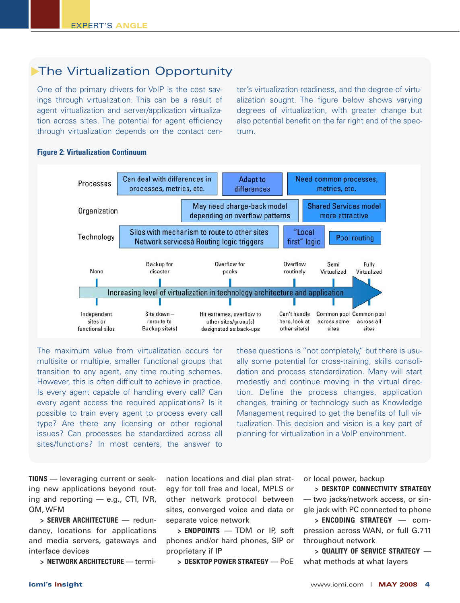# **The Virtualization Opportunity**

One of the primary drivers for VoIP is the cost savings through virtualization. This can be a result of agent virtualization and server/application virtualization across sites. The potential for agent efficiency through virtualization depends on the contact cen-

ter's virtualization readiness, and the degree of virtualization sought. The figure below shows varying degrees of virtualization, with greater change but also potential benefit on the far right end of the spectrum.



#### **Figure 2: Virtualization Continuum**

The maximum value from virtualization occurs for multisite or multiple, smaller functional groups that transition to any agent, any time routing schemes. However, this is often difficult to achieve in practice. Is every agent capable of handling every call? Can every agent access the required applications? Is it possible to train every agent to process every call type? Are there any licensing or other regional issues? Can processes be standardized across all sites/functions? In most centers, the answer to

these questions is "not completely," but there is usually some potential for cross-training, skills consolidation and process standardization. Many will start modestly and continue moving in the virtual direction. Define the process changes, application changes, training or technology such as Knowledge Management required to get the benefits of full virtualization. This decision and vision is a key part of planning for virtualization in a VoIP environment.

**TIONS** — leveraging current or seeking new applications beyond routing and reporting  $-$  e.g., CTI, IVR, QM, WFM

**> SERVER ARCHITECTURE** — redundancy, locations for applications and media servers, gateways and interface devices

**> NETWORK ARCHITECTURE** — termi-

nation locations and dial plan strategy for toll free and local, MPLS or other network protocol between sites, converged voice and data or separate voice network

**> ENDPOINTS** — TDM or IP, soft phones and/or hard phones, SIP or proprietary if IP

**> DESKTOP POWER STRATEGY** — PoE

or local power, backup

**> DESKTOP CONNECTIVITY STRATEGY** — two jacks/network access, or single jack with PC connected to phone

**> ENCODING STRATEGY** — compression across WAN, or full G.711 throughout network

**> QUALITY OF SERVICE STRATEGY** what methods at what layers